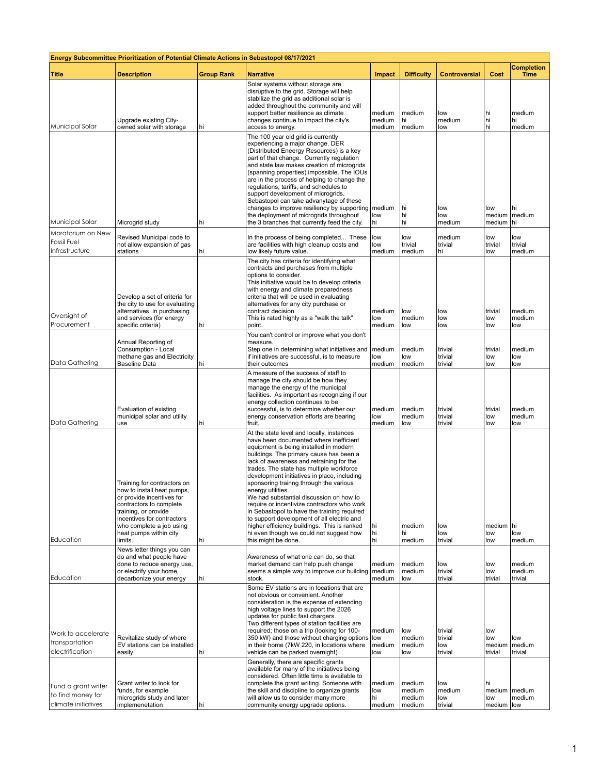| <b>Energy Subcommittee Prioritization of Potential Climate Actions in Sebastopol 08/17/2021</b> |                                                                                                                                                                                                                                          |                   |                                                                                                                                                                                                                                                                                                                                                                                                                                                                                                                                                                                                                                                                                        |                                |                                      |                                      |                                 |                                  |  |  |  |
|-------------------------------------------------------------------------------------------------|------------------------------------------------------------------------------------------------------------------------------------------------------------------------------------------------------------------------------------------|-------------------|----------------------------------------------------------------------------------------------------------------------------------------------------------------------------------------------------------------------------------------------------------------------------------------------------------------------------------------------------------------------------------------------------------------------------------------------------------------------------------------------------------------------------------------------------------------------------------------------------------------------------------------------------------------------------------------|--------------------------------|--------------------------------------|--------------------------------------|---------------------------------|----------------------------------|--|--|--|
| <b>Title</b>                                                                                    | <b>Description</b>                                                                                                                                                                                                                       | <b>Group Rank</b> | <b>Narrative</b>                                                                                                                                                                                                                                                                                                                                                                                                                                                                                                                                                                                                                                                                       | Impact                         | <b>Difficulty</b>                    | <b>Controversial</b>                 | Cost                            | <b>Completion</b><br><b>Time</b> |  |  |  |
| Municipal Solar                                                                                 | Upgrade existing City-<br>owned solar with storage                                                                                                                                                                                       | hi                | Solar systems without storage are<br>disruptive to the grid. Storage will help<br>stabilize the grid as additional solar is<br>added throughout the community and will<br>support better resilience as climate<br>changes continue to impact the city's<br>access to energy.                                                                                                                                                                                                                                                                                                                                                                                                           | medium<br>medium<br>medium     | medium<br>hi<br>medium               | low<br>medium<br>low                 | hi<br>hi<br>hi                  | medium<br>hi<br>medium           |  |  |  |
| Municipal Solar                                                                                 | Microgrid study                                                                                                                                                                                                                          | hi                | The 100 year old grid is currently<br>experiencing a major change. DER<br>(Distributed Eneergy Resources) is a key<br>part of that change. Currently regulation<br>and state law makes creation of microgrids<br>(spanning properties) impossible. The IOUs<br>are in the process of helping to change the<br>regulations, tariffs, and schedules to<br>support development of microgrids.<br>Sebastopol can take advanytage of these<br>changes to improve resiliency by supporting<br>the deployment of microgrids throughout<br>the 3 branches that currently feed the city.                                                                                                        | medium<br>low<br>hi            | hi<br>hi<br>hi                       | low<br>low<br>medium                 | low<br>medium                   | hi<br>medium   medium<br>l hi    |  |  |  |
| Moratorium on New                                                                               |                                                                                                                                                                                                                                          |                   |                                                                                                                                                                                                                                                                                                                                                                                                                                                                                                                                                                                                                                                                                        |                                |                                      |                                      |                                 |                                  |  |  |  |
| <b>Fossil Fuel</b><br>Infrastructure                                                            | Revised Municipal code to<br>not allow expansion of gas<br>stations                                                                                                                                                                      | hi                | In the process of being completed These<br>are facilities with high cleanup costs and<br>low likely future value.                                                                                                                                                                                                                                                                                                                                                                                                                                                                                                                                                                      | low<br>low<br>medium           | low<br>trivial<br>medium             | medium<br>trivial<br>hi              | low<br>trivial<br>low           | low<br>trivial<br>medium         |  |  |  |
| Oversight of<br>Procurement                                                                     | Develop a set of criteria for<br>the city to use for evaluating<br>alternatives in purchasing<br>and services (for energy<br>specific criteria)                                                                                          | hi                | The city has criteria for identifying what<br>contracts and purchases from multiple<br>options to consider.<br>This initiative would be to develop criteria<br>with energy and climate preparedness<br>criteria that will be used in evaluating<br>alternatives for any city purchase or<br>contract decision.<br>This is rated highly as a "walk the talk"<br>point.                                                                                                                                                                                                                                                                                                                  | medium<br>low<br>medium        | low<br>medium<br>low                 | low<br>low<br>low                    | trivial<br>low<br>low           | medium<br>medium<br>low          |  |  |  |
| Data Gathering                                                                                  | Annual Reporting of<br>Consumption - Local<br>methane gas and Electricity<br><b>Baseline Data</b>                                                                                                                                        | hi                | You can't control or improve what you don't<br>measure.<br>Step one in determining what initiatives and<br>if initiatives are successful, is to measure<br>their outcomes                                                                                                                                                                                                                                                                                                                                                                                                                                                                                                              | medium<br>low<br>medium        | medium<br>low<br>medium              | trivial<br>trivial<br>trivial        | trivial<br>low<br>low           | medium<br>low<br>low             |  |  |  |
| Data Gathering                                                                                  | Evaluation of existing<br>municipal solar and utility<br>use                                                                                                                                                                             | hi                | A measure of the success of staff to<br>manage the city should be how they<br>manage the energy of the municipal<br>facilities. As important as recognizing if our<br>energy collection continues to be<br>successful, is to determine whether our<br>energy conservation efforts are bearing<br>fruit,                                                                                                                                                                                                                                                                                                                                                                                | medium<br>low<br>medium        | medium<br>medium<br>low              | trivial<br>trivial<br>trivial        | trivial<br>low<br>low           | medium<br>medium<br>low          |  |  |  |
| Education                                                                                       | Training for contractors on<br>how to install heat pumps,<br>or provide incentives for<br>contractors to complete<br>training, or provide<br>incentives for contractors<br>who complete a job using<br>heat pumps within city<br>limits. | hi                | At the state level and locally, instances<br>have been documented where inefficient<br>equipment is being installed in modern<br>buildings. The primary cause has been a<br>lack of awareness and retraining for the<br>trades. The state has multiple workforce<br>development initiatives in place, including<br>sponsoring trainng through the various<br>energy utilities.<br>We had substantial discussion on how to<br>require or incentivize contractors who work<br>in Sebastopol to have the training required<br>to support development of all electric and<br>higher efficiency buildings. This is ranked<br>hi even though we could not suggest how<br>this might be done. | hi<br>hi<br>hi                 | medium<br>hi<br>medium               | low<br>low<br>trivial                | medium hi<br>low<br>low         | low<br>medium                    |  |  |  |
| Education                                                                                       | News letter things you can<br>do and what people have<br>done to reduce energy use,<br>or electrify your home,<br>decarbonize your energy                                                                                                | hi                | Awareness of what one can do, so that<br>market demand can help push change<br>seems a simple way to improve our building<br>stock.                                                                                                                                                                                                                                                                                                                                                                                                                                                                                                                                                    | medium<br>medium<br>medium     | medium<br>medium<br>low              | low<br>trivial<br>trivial            | low<br>low<br>trivial           | medium<br>medium<br>trivial      |  |  |  |
| Work to accelerate<br>transportation<br>electrification                                         | Revitalize study of where<br>EV stations can be installed<br>easily                                                                                                                                                                      | hi                | Some EV stations are in locations that are<br>not obvious or convenient. Another<br>consideration is the expense of extending<br>high voltage lines to support the 2026<br>updates for public fast chargers.<br>Two different types of station facilities are<br>required; those on a trip (looking for 100-<br>350 kW) and those without charging options<br>in their home (7kW 220, in locations where<br>vehicle can be parked overnight)<br>Generally, there are specific grants<br>available for many of the initiatives being                                                                                                                                                    | medium<br>low<br>medium<br>low | low<br>medium<br>medium<br>low       | trivial<br>trivial<br>low<br>trivial | low<br>low<br>medium<br>trivial | low<br>medium<br>trivial         |  |  |  |
| Fund a grant writer<br>to find money for<br>climate initiatives                                 | Grant writer to look for<br>funds, for example<br>microgrids study and later<br>implemenetation                                                                                                                                          | hi                | considered. Often little time is available to<br>complete the grant writing. Someone with<br>the skill and discipline to organize grants<br>will allow us to consider many more<br>community energy upgrade options.                                                                                                                                                                                                                                                                                                                                                                                                                                                                   | medium<br>low<br>hi<br>medium  | medium<br>medium<br>medium<br>medium | low<br>medium<br>low<br>trivial      | hi<br>low<br>medium   low       | medium   medium<br>medium        |  |  |  |